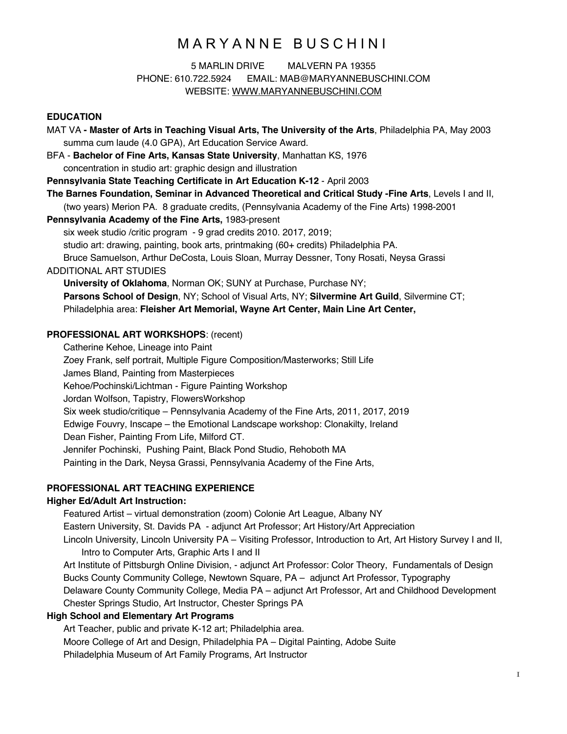# MARYANNE BUSCHINI

## 5 MARLIN DRIVE MALVERN PA 19355 PHONE: 610.722.5924 EMAIL: MAB@MARYANNEBUSCHINI.COM WEBSITE: WWW.MARYANNEBUSCHINI.COM

### **EDUCATION**

MAT VA **- Master of Arts in Teaching Visual Arts, The University of the Arts**, Philadelphia PA, May 2003 summa cum laude (4.0 GPA), Art Education Service Award. BFA - **Bachelor of Fine Arts, Kansas State University**, Manhattan KS, 1976 concentration in studio art: graphic design and illustration **Pennsylvania State Teaching Certificate in Art Education K-12** - April 2003 **The Barnes Foundation, Seminar in Advanced Theoretical and Critical Study -Fine Arts**, Levels I and II, (two years) Merion PA. 8 graduate credits, (Pennsylvania Academy of the Fine Arts) 1998-2001 **Pennsylvania Academy of the Fine Arts,** 1983-present six week studio /critic program - 9 grad credits 2010. 2017, 2019; studio art: drawing, painting, book arts, printmaking (60+ credits) Philadelphia PA. Bruce Samuelson, Arthur DeCosta, Louis Sloan, Murray Dessner, Tony Rosati, Neysa Grassi ADDITIONAL ART STUDIES **University of Oklahoma**, Norman OK; SUNY at Purchase, Purchase NY; **Parsons School of Design**, NY; School of Visual Arts, NY; **Silvermine Art Guild**, Silvermine CT; Philadelphia area: **Fleisher Art Memorial, Wayne Art Center, Main Line Art Center, PROFESSIONAL ART WORKSHOPS**: (recent) Catherine Kehoe, Lineage into Paint

Zoey Frank, self portrait, Multiple Figure Composition/Masterworks; Still Life James Bland, Painting from Masterpieces Kehoe/Pochinski/Lichtman - Figure Painting Workshop Jordan Wolfson, Tapistry, FlowersWorkshop Six week studio/critique – Pennsylvania Academy of the Fine Arts, 2011, 2017, 2019 Edwige Fouvry, Inscape – the Emotional Landscape workshop: Clonakilty, Ireland Dean Fisher, Painting From Life, Milford CT. Jennifer Pochinski, Pushing Paint, Black Pond Studio, Rehoboth MA Painting in the Dark, Neysa Grassi, Pennsylvania Academy of the Fine Arts,

### **PROFESSIONAL ART TEACHING EXPERIENCE**

#### **Higher Ed/Adult Art Instruction:**

Featured Artist – virtual demonstration (zoom) Colonie Art League, Albany NY Eastern University, St. Davids PA - adjunct Art Professor; Art History/Art Appreciation Lincoln University, Lincoln University PA – Visiting Professor, Introduction to Art, Art History Survey I and II, Intro to Computer Arts, Graphic Arts I and II Art Institute of Pittsburgh Online Division, - adjunct Art Professor: Color Theory, Fundamentals of Design Bucks County Community College, Newtown Square, PA – adjunct Art Professor, Typography Delaware County Community College, Media PA – adjunct Art Professor, Art and Childhood Development Chester Springs Studio, Art Instructor, Chester Springs PA **High School and Elementary Art Programs** Art Teacher, public and private K-12 art; Philadelphia area. Moore College of Art and Design, Philadelphia PA – Digital Painting, Adobe Suite

Philadelphia Museum of Art Family Programs, Art Instructor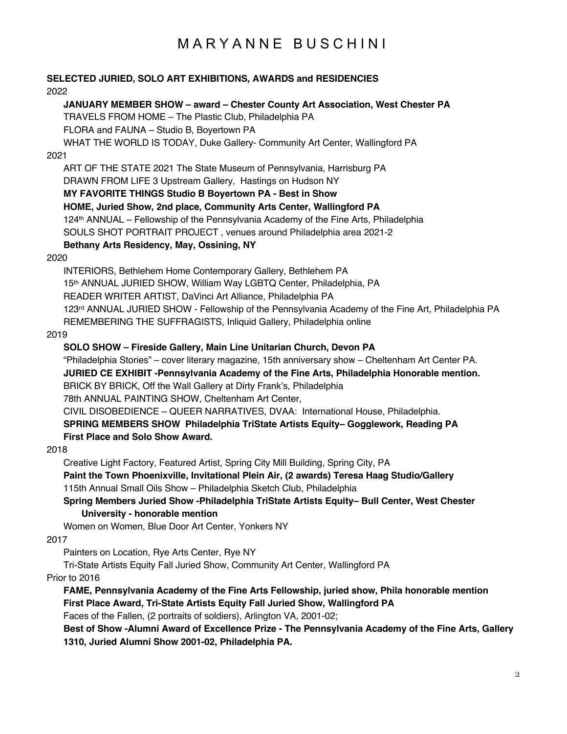# MARYANNE BUSCHINI

## **SELECTED JURIED, SOLO ART EXHIBITIONS, AWARDS and RESIDENCIES** 2022

## **JANUARY MEMBER SHOW – award – Chester County Art Association, West Chester PA**

TRAVELS FROM HOME – The Plastic Club, Philadelphia PA

FLORA and FAUNA – Studio B, Boyertown PA

WHAT THE WORLD IS TODAY, Duke Gallery- Community Art Center, Wallingford PA

## 2021

ART OF THE STATE 2021 The State Museum of Pennsylvania, Harrisburg PA DRAWN FROM LIFE 3 Upstream Gallery, Hastings on Hudson NY **MY FAVORITE THINGS Studio B Boyertown PA - Best in Show HOME, Juried Show, 2nd place, Community Arts Center, Wallingford PA** 124th ANNUAL – Fellowship of the Pennsylvania Academy of the Fine Arts, Philadelphia SOULS SHOT PORTRAIT PROJECT , venues around Philadelphia area 2021-2

## **Bethany Arts Residency, May, Ossining, NY**

#### 2020

INTERIORS, Bethlehem Home Contemporary Gallery, Bethlehem PA 15th ANNUAL JURIED SHOW, William Way LGBTQ Center, Philadelphia, PA READER WRITER ARTIST, DaVinci Art Alliance, Philadelphia PA 123rd ANNUAL JURIED SHOW - Fellowship of the Pennsylvania Academy of the Fine Art, Philadelphia PA REMEMBERING THE SUFFRAGISTS, Inliquid Gallery, Philadelphia online

2019

### **SOLO SHOW – Fireside Gallery, Main Line Unitarian Church, Devon PA**

"Philadelphia Stories" – cover literary magazine, 15th anniversary show – Cheltenham Art Center PA. **JURIED CE EXHIBIT -Pennsylvania Academy of the Fine Arts, Philadelphia Honorable mention.** BRICK BY BRICK, Off the Wall Gallery at Dirty Frank's, Philadelphia 78th ANNUAL PAINTING SHOW, Cheltenham Art Center,

CIVIL DISOBEDIENCE – QUEER NARRATIVES, DVAA: International House, Philadelphia.

## **SPRING MEMBERS SHOW Philadelphia TriState Artists Equity– Gogglework, Reading PA First Place and Solo Show Award.**

#### 2018

Creative Light Factory, Featured Artist, Spring City Mill Building, Spring City, PA

**Paint the Town Phoenixville, Invitational Plein Air, (2 awards) Teresa Haag Studio/Gallery** 115th Annual Small Oils Show – Philadelphia Sketch Club, Philadelphia

## **Spring Members Juried Show -Philadelphia TriState Artists Equity– Bull Center, West Chester University - honorable mention**

Women on Women, Blue Door Art Center, Yonkers NY

#### 2017

Painters on Location, Rye Arts Center, Rye NY

Tri-State Artists Equity Fall Juried Show, Community Art Center, Wallingford PA

## Prior to 2016

**FAME, Pennsylvania Academy of the Fine Arts Fellowship, juried show, Phila honorable mention First Place Award, Tri-State Artists Equity Fall Juried Show, Wallingford PA**

Faces of the Fallen, (2 portraits of soldiers), Arlington VA, 2001-02;

**Best of Show -Alumni Award of Excellence Prize - The Pennsylvania Academy of the Fine Arts, Gallery 1310, Juried Alumni Show 2001-02, Philadelphia PA.**